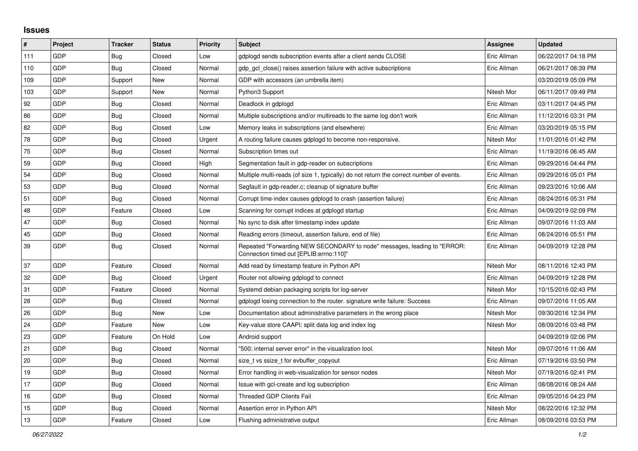## **Issues**

| #   | Project    | <b>Tracker</b> | <b>Status</b> | <b>Priority</b> | <b>Subject</b>                                                                                                      | <b>Assignee</b> | <b>Updated</b>      |
|-----|------------|----------------|---------------|-----------------|---------------------------------------------------------------------------------------------------------------------|-----------------|---------------------|
| 111 | GDP        | <b>Bug</b>     | Closed        | Low             | gdplogd sends subscription events after a client sends CLOSE                                                        | Eric Allman     | 06/22/2017 04:18 PM |
| 110 | GDP        | <b>Bug</b>     | Closed        | Normal          | gdp gcl close() raises assertion failure with active subscriptions                                                  | Eric Allman     | 06/21/2017 08:39 PM |
| 109 | GDP        | Support        | New           | Normal          | GDP with accessors (an umbrella item)                                                                               |                 | 03/20/2019 05:09 PM |
| 103 | GDP        | Support        | New           | Normal          | Python3 Support                                                                                                     | Nitesh Mor      | 06/11/2017 09:49 PM |
| 92  | GDP        | <b>Bug</b>     | Closed        | Normal          | Deadlock in gdplogd                                                                                                 | Eric Allman     | 03/11/2017 04:45 PM |
| 86  | GDP        | <b>Bug</b>     | Closed        | Normal          | Multiple subscriptions and/or multireads to the same log don't work                                                 | Eric Allman     | 11/12/2016 03:31 PM |
| 82  | <b>GDP</b> | <b>Bug</b>     | Closed        | Low             | Memory leaks in subscriptions (and elsewhere)                                                                       | Eric Allman     | 03/20/2019 05:15 PM |
| 78  | GDP        | <b>Bug</b>     | Closed        | Urgent          | A routing failure causes gdplogd to become non-responsive.                                                          | Nitesh Mor      | 11/01/2016 01:42 PM |
| 75  | GDP        | <b>Bug</b>     | Closed        | Normal          | Subscription times out                                                                                              | Eric Allman     | 11/19/2016 06:45 AM |
| 59  | GDP        | Bug            | Closed        | High            | Segmentation fault in gdp-reader on subscriptions                                                                   | Eric Allman     | 09/29/2016 04:44 PM |
| 54  | GDP        | <b>Bug</b>     | Closed        | Normal          | Multiple multi-reads (of size 1, typically) do not return the correct number of events.                             | Eric Allman     | 09/29/2016 05:01 PM |
| 53  | GDP        | <b>Bug</b>     | Closed        | Normal          | Segfault in gdp-reader.c; cleanup of signature buffer                                                               | Eric Allman     | 09/23/2016 10:06 AM |
| 51  | GDP        | <b>Bug</b>     | Closed        | Normal          | Corrupt time-index causes gdplogd to crash (assertion failure)                                                      | Eric Allman     | 08/24/2016 05:31 PM |
| 48  | GDP        | Feature        | Closed        | Low             | Scanning for corrupt indices at gdplogd startup                                                                     | Eric Allman     | 04/09/2019 02:09 PM |
| 47  | GDP        | Bug            | Closed        | Normal          | No sync to disk after timestamp index update                                                                        | Eric Allman     | 09/07/2016 11:03 AM |
| 45  | GDP        | <b>Bug</b>     | Closed        | Normal          | Reading errors (timeout, assertion failure, end of file)                                                            | Eric Allman     | 08/24/2016 05:51 PM |
| 39  | <b>GDP</b> | <b>Bug</b>     | Closed        | Normal          | Repeated "Forwarding NEW SECONDARY to node" messages, leading to "ERROR:<br>Connection timed out [EPLIB:errno:110]" | Eric Allman     | 04/09/2019 12:28 PM |
| 37  | GDP        | Feature        | Closed        | Normal          | Add read by timestamp feature in Python API                                                                         | Nitesh Mor      | 08/11/2016 12:43 PM |
| 32  | GDP        | <b>Bug</b>     | Closed        | Urgent          | Router not allowing gdplogd to connect                                                                              | Eric Allman     | 04/09/2019 12:28 PM |
| 31  | GDP        | Feature        | Closed        | Normal          | Systemd debian packaging scripts for log-server                                                                     | Nitesh Mor      | 10/15/2016 02:43 PM |
| 28  | GDP        | Bug            | Closed        | Normal          | gdplogd losing connection to the router. signature write failure: Success                                           | Eric Allman     | 09/07/2016 11:05 AM |
| 26  | <b>GDP</b> | <b>Bug</b>     | New           | Low             | Documentation about administrative parameters in the wrong place                                                    | Nitesh Mor      | 09/30/2016 12:34 PM |
| 24  | GDP        | Feature        | New           | Low             | Key-value store CAAPI: split data log and index log                                                                 | Nitesh Mor      | 08/09/2016 03:48 PM |
| 23  | GDP        | Feature        | On Hold       | Low             | Android support                                                                                                     |                 | 04/09/2019 02:06 PM |
| 21  | GDP        | Bug            | Closed        | Normal          | '500: internal server error" in the visualization tool.                                                             | Nitesh Mor      | 09/07/2016 11:06 AM |
| 20  | GDP        | Bug            | Closed        | Normal          | size t vs ssize t for evbuffer copyout                                                                              | Eric Allman     | 07/19/2016 03:50 PM |
| 19  | GDP        | <b>Bug</b>     | Closed        | Normal          | Error handling in web-visualization for sensor nodes                                                                | Nitesh Mor      | 07/19/2016 02:41 PM |
| 17  | GDP        | Bug            | Closed        | Normal          | Issue with gcl-create and log subscription                                                                          | Eric Allman     | 08/08/2016 08:24 AM |
| 16  | GDP        | <b>Bug</b>     | Closed        | Normal          | <b>Threaded GDP Clients Fail</b>                                                                                    | Eric Allman     | 09/05/2016 04:23 PM |
| 15  | GDP        | Bug            | Closed        | Normal          | Assertion error in Python API                                                                                       | Nitesh Mor      | 08/22/2016 12:32 PM |
| 13  | GDP        | Feature        | Closed        | Low             | Flushing administrative output                                                                                      | Eric Allman     | 08/09/2016 03:53 PM |